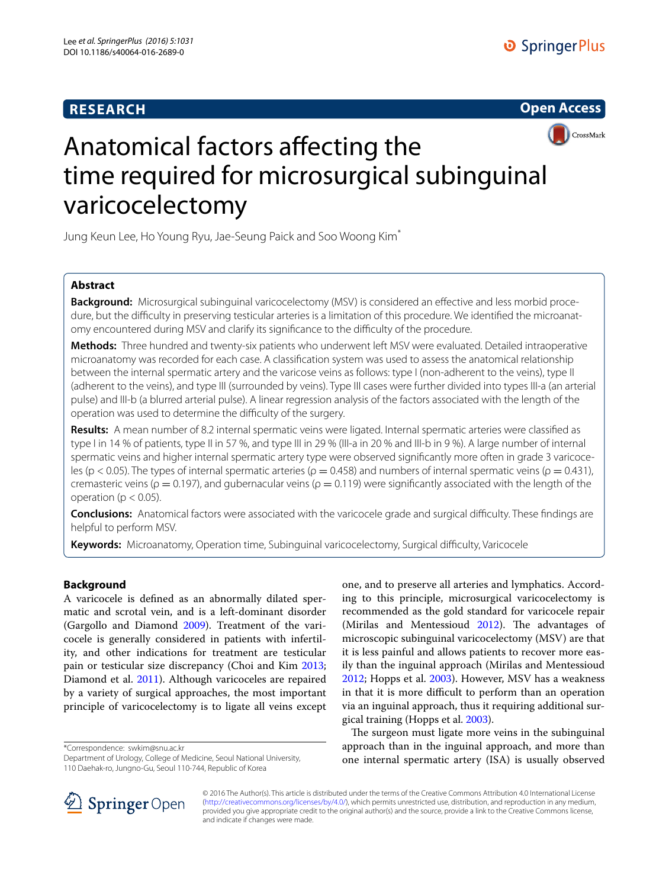# **RESEARCH**





# Anatomical factors affecting the time required for microsurgical subinguinal varicocelectomy

Jung Keun Lee, Ho Young Ryu, Jae‑Seung Paick and Soo Woong Kim\*

## **Abstract**

**Background:** Microsurgical subinguinal varicocelectomy (MSV) is considered an effective and less morbid procedure, but the difficulty in preserving testicular arteries is a limitation of this procedure. We identified the microanatomy encountered during MSV and clarify its significance to the difficulty of the procedure.

**Methods:** Three hundred and twenty-six patients who underwent left MSV were evaluated. Detailed intraoperative microanatomy was recorded for each case. A classification system was used to assess the anatomical relationship between the internal spermatic artery and the varicose veins as follows: type I (non-adherent to the veins), type II (adherent to the veins), and type III (surrounded by veins). Type III cases were further divided into types III-a (an arterial pulse) and III-b (a blurred arterial pulse). A linear regression analysis of the factors associated with the length of the operation was used to determine the difficulty of the surgery.

**Results:** A mean number of 8.2 internal spermatic veins were ligated. Internal spermatic arteries were classified as type I in 14 % of patients, type II in 57 %, and type III in 29 % (III-a in 20 % and III-b in 9 %). A large number of internal spermatic veins and higher internal spermatic artery type were observed significantly more often in grade 3 varicoceles (p < 0.05). The types of internal spermatic arteries ( $ρ$  = 0.458) and numbers of internal spermatic veins ( $ρ$  = 0.431), cremasteric veins ( $\rho = 0.197$ ), and gubernacular veins ( $\rho = 0.119$ ) were significantly associated with the length of the operation ( $p < 0.05$ ).

**Conclusions:** Anatomical factors were associated with the varicocele grade and surgical difficulty. These findings are helpful to perform MSV.

**Keywords:** Microanatomy, Operation time, Subinguinal varicocelectomy, Surgical difficulty, Varicocele

## **Background**

A varicocele is defined as an abnormally dilated spermatic and scrotal vein, and is a left-dominant disorder (Gargollo and Diamond [2009\)](#page-4-0). Treatment of the varicocele is generally considered in patients with infertility, and other indications for treatment are testicular pain or testicular size discrepancy (Choi and Kim [2013](#page-4-1); Diamond et al. [2011\)](#page-4-2). Although varicoceles are repaired by a variety of surgical approaches, the most important principle of varicocelectomy is to ligate all veins except

\*Correspondence: swkim@snu.ac.kr

Department of Urology, College of Medicine, Seoul National University, 110 Daehak‑ro, Jungno‑Gu, Seoul 110‑744, Republic of Korea

one, and to preserve all arteries and lymphatics. According to this principle, microsurgical varicocelectomy is recommended as the gold standard for varicocele repair (Mirilas and Mentessioud [2012\)](#page-4-3). The advantages of microscopic subinguinal varicocelectomy (MSV) are that it is less painful and allows patients to recover more easily than the inguinal approach (Mirilas and Mentessioud [2012](#page-4-3); Hopps et al. [2003](#page-4-4)). However, MSV has a weakness in that it is more difficult to perform than an operation via an inguinal approach, thus it requiring additional surgical training (Hopps et al. [2003](#page-4-4)).

The surgeon must ligate more veins in the subinguinal approach than in the inguinal approach, and more than one internal spermatic artery (ISA) is usually observed



© 2016 The Author(s). This article is distributed under the terms of the Creative Commons Attribution 4.0 International License [\(http://creativecommons.org/licenses/by/4.0/\)](http://creativecommons.org/licenses/by/4.0/), which permits unrestricted use, distribution, and reproduction in any medium, provided you give appropriate credit to the original author(s) and the source, provide a link to the Creative Commons license, and indicate if changes were made.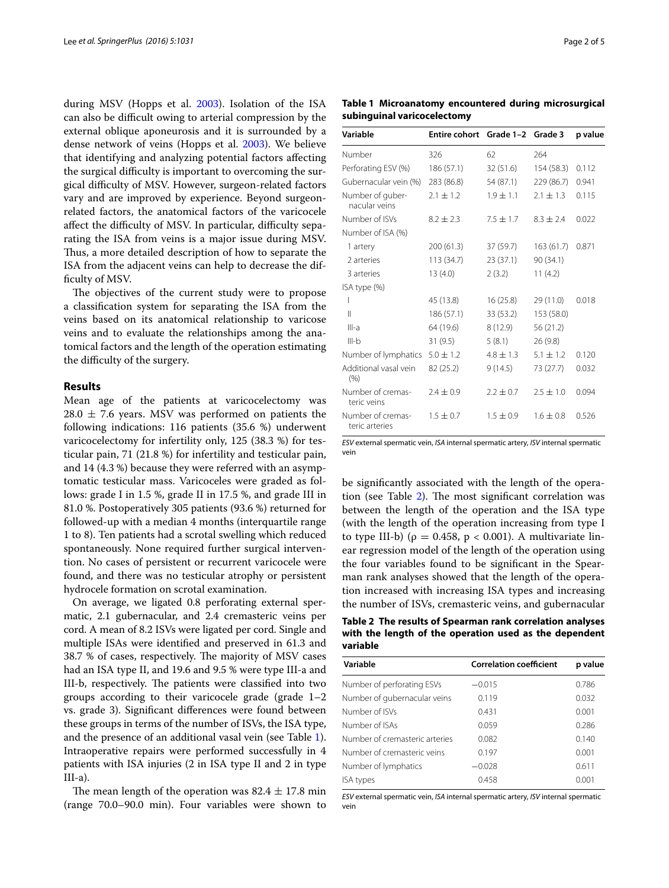during MSV (Hopps et al. [2003\)](#page-4-4). Isolation of the ISA can also be difficult owing to arterial compression by the external oblique aponeurosis and it is surrounded by a dense network of veins (Hopps et al. [2003\)](#page-4-4). We believe that identifying and analyzing potential factors affecting the surgical difficulty is important to overcoming the surgical difficulty of MSV. However, surgeon-related factors vary and are improved by experience. Beyond surgeonrelated factors, the anatomical factors of the varicocele affect the difficulty of MSV. In particular, difficulty separating the ISA from veins is a major issue during MSV. Thus, a more detailed description of how to separate the ISA from the adjacent veins can help to decrease the difficulty of MSV.

The objectives of the current study were to propose a classification system for separating the ISA from the veins based on its anatomical relationship to varicose veins and to evaluate the relationships among the anatomical factors and the length of the operation estimating the difficulty of the surgery.

### **Results**

Mean age of the patients at varicocelectomy was  $28.0 \pm 7.6$  years. MSV was performed on patients the following indications: 116 patients (35.6 %) underwent varicocelectomy for infertility only, 125 (38.3 %) for testicular pain, 71 (21.8 %) for infertility and testicular pain, and 14 (4.3 %) because they were referred with an asymptomatic testicular mass. Varicoceles were graded as follows: grade I in 1.5 %, grade II in 17.5 %, and grade III in 81.0 %. Postoperatively 305 patients (93.6 %) returned for followed-up with a median 4 months (interquartile range 1 to 8). Ten patients had a scrotal swelling which reduced spontaneously. None required further surgical intervention. No cases of persistent or recurrent varicocele were found, and there was no testicular atrophy or persistent hydrocele formation on scrotal examination.

On average, we ligated 0.8 perforating external spermatic, 2.1 gubernacular, and 2.4 cremasteric veins per cord. A mean of 8.2 ISVs were ligated per cord. Single and multiple ISAs were identified and preserved in 61.3 and 38.7 % of cases, respectively. The majority of MSV cases had an ISA type II, and 19.6 and 9.5 % were type III-a and III-b, respectively. The patients were classified into two groups according to their varicocele grade (grade 1–2 vs. grade 3). Significant differences were found between these groups in terms of the number of ISVs, the ISA type, and the presence of an additional vasal vein (see Table [1](#page-1-0)). Intraoperative repairs were performed successfully in 4 patients with ISA injuries (2 in ISA type II and 2 in type  $III-a$ ).

The mean length of the operation was  $82.4 \pm 17.8$  min (range 70.0–90.0 min). Four variables were shown to

<span id="page-1-0"></span>**Table 1 Microanatomy encountered during microsurgical subinguinal varicocelectomy**

| Variable                            | Entire cohort Grade 1-2 Grade 3 |               |               | p value |
|-------------------------------------|---------------------------------|---------------|---------------|---------|
| Number                              | 326                             | 62            | 264           |         |
| Perforating ESV (%)                 | 186 (57.1)                      | 32(51.6)      | 154 (58.3)    | 0.112   |
| Gubernacular vein (%)               | 283 (86.8)                      | 54 (87.1)     | 229 (86.7)    | 0.941   |
| Number of guber-<br>nacular veins   | $2.1 \pm 1.2$                   | $1.9 \pm 1.1$ | $2.1 \pm 1.3$ | 0.115   |
| Number of ISVs                      | $8.2 \pm 2.3$                   | $7.5 + 1.7$   | $8.3 + 2.4$   | 0.022   |
| Number of ISA (%)                   |                                 |               |               |         |
| 1 artery                            | 200 (61.3)                      | 37 (59.7)     | 163(61.7)     | 0.871   |
| 2 arteries                          | 113 (34.7)                      | 23(37.1)      | 90 (34.1)     |         |
| 3 arteries                          | 13(4.0)                         | 2(3.2)        | 11(4.2)       |         |
| ISA type (%)                        |                                 |               |               |         |
| I                                   | 45 (13.8)                       | 16(25.8)      | 29 (11.0)     | 0.018   |
| $\mathsf{II}$                       | 186 (57.1)                      | 33 (53.2)     | 153 (58.0)    |         |
| $III-a$                             | 64 (19.6)                       | 8(12.9)       | 56 (21.2)     |         |
| $III-b$                             | 31(9.5)                         | 5(8.1)        | 26(9.8)       |         |
| Number of lymphatics                | $5.0 \pm 1.2$                   | $4.8 \pm 1.3$ | $5.1 \pm 1.2$ | 0.120   |
| Additional vasal vein<br>(% )       | 82 (25.2)                       | 9(14.5)       | 73 (27.7)     | 0.032   |
| Number of cremas-<br>teric veins    | $7.4 \pm 0.9$                   | $2.2 \pm 0.7$ | $2.5 \pm 1.0$ | 0.094   |
| Number of cremas-<br>teric arteries | $1.5 \pm 0.7$                   | $1.5 + 0.9$   | $1.6 \pm 0.8$ | 0.526   |

*ESV* external spermatic vein, *ISA* internal spermatic artery, *ISV* internal spermatic vein

be significantly associated with the length of the operation (see Table [2\)](#page-1-1). The most significant correlation was between the length of the operation and the ISA type (with the length of the operation increasing from type I to type III-b) ( $ρ = 0.458$ ,  $p < 0.001$ ). A multivariate linear regression model of the length of the operation using the four variables found to be significant in the Spearman rank analyses showed that the length of the operation increased with increasing ISA types and increasing the number of ISVs, cremasteric veins, and gubernacular

<span id="page-1-1"></span>**Table 2 The results of Spearman rank correlation analyses with the length of the operation used as the dependent variable**

| <b>Correlation coefficient</b> | p value |
|--------------------------------|---------|
| $-0.015$                       | 0.786   |
| 0.119                          | 0.032   |
| 0.431                          | 0.001   |
| 0.059                          | 0.286   |
| 0.082                          | 0.140   |
| 0.197                          | 0.001   |
| $-0.028$                       | 0.611   |
| 0458                           | 0.001   |
|                                |         |

*ESV* external spermatic vein, *ISA* internal spermatic artery, *ISV* internal spermatic vein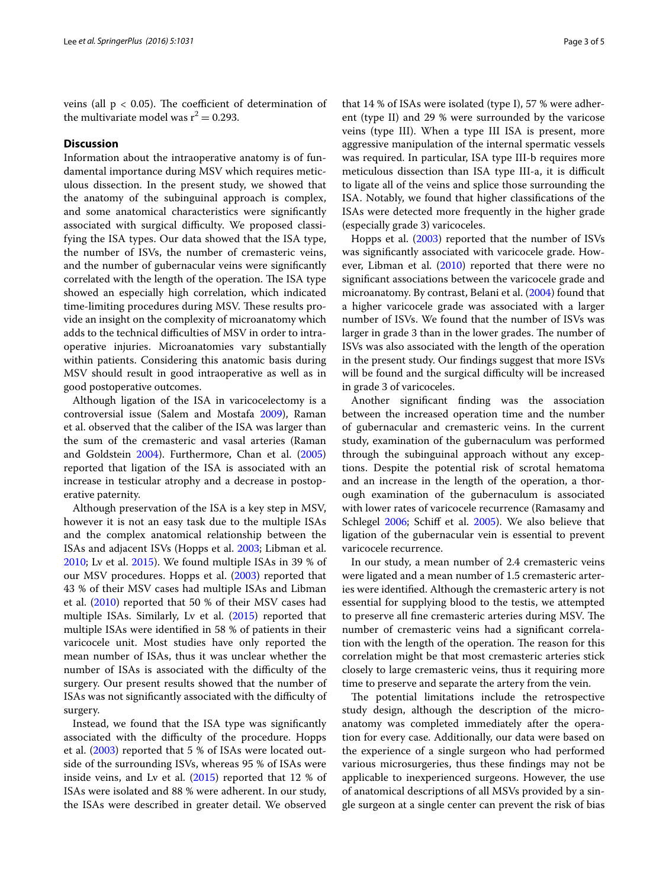veins (all  $p < 0.05$ ). The coefficient of determination of the multivariate model was  $r^2 = 0.293$ .

## **Discussion**

Information about the intraoperative anatomy is of fundamental importance during MSV which requires meticulous dissection. In the present study, we showed that the anatomy of the subinguinal approach is complex, and some anatomical characteristics were significantly associated with surgical difficulty. We proposed classifying the ISA types. Our data showed that the ISA type, the number of ISVs, the number of cremasteric veins, and the number of gubernacular veins were significantly correlated with the length of the operation. The ISA type showed an especially high correlation, which indicated time-limiting procedures during MSV. These results provide an insight on the complexity of microanatomy which adds to the technical difficulties of MSV in order to intraoperative injuries. Microanatomies vary substantially within patients. Considering this anatomic basis during MSV should result in good intraoperative as well as in good postoperative outcomes.

Although ligation of the ISA in varicocelectomy is a controversial issue (Salem and Mostafa [2009](#page-4-5)), Raman et al. observed that the caliber of the ISA was larger than the sum of the cremasteric and vasal arteries (Raman and Goldstein [2004](#page-4-6)). Furthermore, Chan et al. ([2005](#page-4-7)) reported that ligation of the ISA is associated with an increase in testicular atrophy and a decrease in postoperative paternity.

Although preservation of the ISA is a key step in MSV, however it is not an easy task due to the multiple ISAs and the complex anatomical relationship between the ISAs and adjacent ISVs (Hopps et al. [2003](#page-4-4); Libman et al. [2010](#page-4-8); Lv et al. [2015\)](#page-4-9). We found multiple ISAs in 39 % of our MSV procedures. Hopps et al. ([2003](#page-4-4)) reported that 43 % of their MSV cases had multiple ISAs and Libman et al. ([2010](#page-4-8)) reported that 50 % of their MSV cases had multiple ISAs. Similarly, Lv et al. ([2015\)](#page-4-9) reported that multiple ISAs were identified in 58 % of patients in their varicocele unit. Most studies have only reported the mean number of ISAs, thus it was unclear whether the number of ISAs is associated with the difficulty of the surgery. Our present results showed that the number of ISAs was not significantly associated with the difficulty of surgery.

Instead, we found that the ISA type was significantly associated with the difficulty of the procedure. Hopps et al. ([2003\)](#page-4-4) reported that 5 % of ISAs were located outside of the surrounding ISVs, whereas 95 % of ISAs were inside veins, and Lv et al.  $(2015)$  reported that 12 % of ISAs were isolated and 88 % were adherent. In our study, the ISAs were described in greater detail. We observed that 14 % of ISAs were isolated (type I), 57 % were adherent (type II) and 29 % were surrounded by the varicose veins (type III). When a type III ISA is present, more aggressive manipulation of the internal spermatic vessels was required. In particular, ISA type III-b requires more meticulous dissection than ISA type III-a, it is difficult to ligate all of the veins and splice those surrounding the ISA. Notably, we found that higher classifications of the ISAs were detected more frequently in the higher grade (especially grade 3) varicoceles.

Hopps et al. ([2003](#page-4-4)) reported that the number of ISVs was significantly associated with varicocele grade. How-ever, Libman et al. ([2010\)](#page-4-8) reported that there were no significant associations between the varicocele grade and microanatomy. By contrast, Belani et al. [\(2004\)](#page-4-10) found that a higher varicocele grade was associated with a larger number of ISVs. We found that the number of ISVs was larger in grade 3 than in the lower grades. The number of ISVs was also associated with the length of the operation in the present study. Our findings suggest that more ISVs will be found and the surgical difficulty will be increased in grade 3 of varicoceles.

Another significant finding was the association between the increased operation time and the number of gubernacular and cremasteric veins. In the current study, examination of the gubernaculum was performed through the subinguinal approach without any exceptions. Despite the potential risk of scrotal hematoma and an increase in the length of the operation, a thorough examination of the gubernaculum is associated with lower rates of varicocele recurrence (Ramasamy and Schlegel [2006](#page-4-11); Schiff et al. [2005\)](#page-4-12). We also believe that ligation of the gubernacular vein is essential to prevent varicocele recurrence.

In our study, a mean number of 2.4 cremasteric veins were ligated and a mean number of 1.5 cremasteric arteries were identified. Although the cremasteric artery is not essential for supplying blood to the testis, we attempted to preserve all fine cremasteric arteries during MSV. The number of cremasteric veins had a significant correlation with the length of the operation. The reason for this correlation might be that most cremasteric arteries stick closely to large cremasteric veins, thus it requiring more time to preserve and separate the artery from the vein.

The potential limitations include the retrospective study design, although the description of the microanatomy was completed immediately after the operation for every case. Additionally, our data were based on the experience of a single surgeon who had performed various microsurgeries, thus these findings may not be applicable to inexperienced surgeons. However, the use of anatomical descriptions of all MSVs provided by a single surgeon at a single center can prevent the risk of bias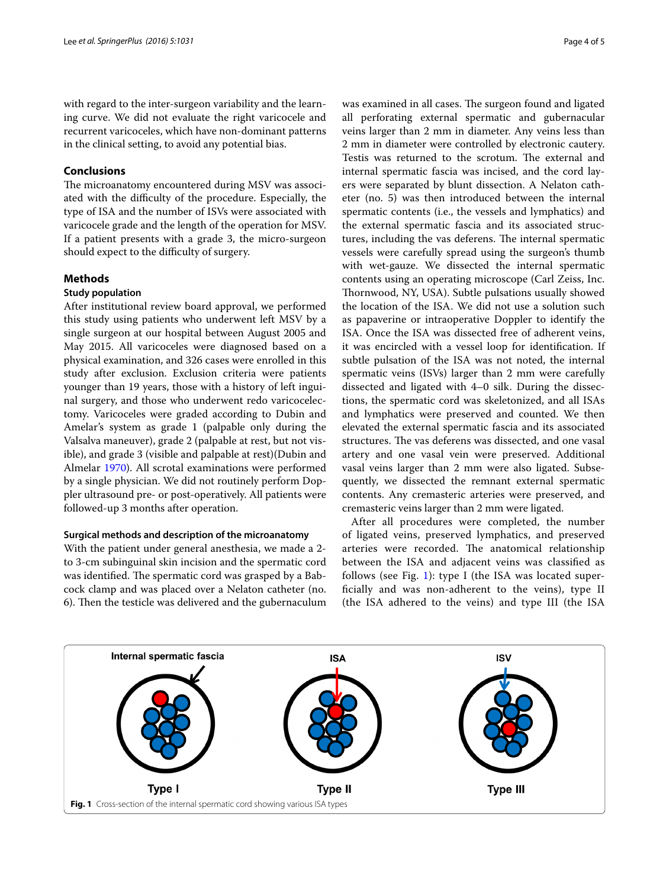with regard to the inter-surgeon variability and the learning curve. We did not evaluate the right varicocele and recurrent varicoceles, which have non-dominant patterns in the clinical setting, to avoid any potential bias.

## **Conclusions**

The microanatomy encountered during MSV was associated with the difficulty of the procedure. Especially, the type of ISA and the number of ISVs were associated with varicocele grade and the length of the operation for MSV. If a patient presents with a grade 3, the micro-surgeon should expect to the difficulty of surgery.

## **Methods**

## **Study population**

After institutional review board approval, we performed this study using patients who underwent left MSV by a single surgeon at our hospital between August 2005 and May 2015. All varicoceles were diagnosed based on a physical examination, and 326 cases were enrolled in this study after exclusion. Exclusion criteria were patients younger than 19 years, those with a history of left inguinal surgery, and those who underwent redo varicocelectomy. Varicoceles were graded according to Dubin and Amelar's system as grade 1 (palpable only during the Valsalva maneuver), grade 2 (palpable at rest, but not visible), and grade 3 (visible and palpable at rest)(Dubin and Almelar [1970](#page-4-13)). All scrotal examinations were performed by a single physician. We did not routinely perform Doppler ultrasound pre- or post-operatively. All patients were followed-up 3 months after operation.

## **Surgical methods and description of the microanatomy**

With the patient under general anesthesia, we made a 2 to 3-cm subinguinal skin incision and the spermatic cord was identified. The spermatic cord was grasped by a Babcock clamp and was placed over a Nelaton catheter (no. 6). Then the testicle was delivered and the gubernaculum was examined in all cases. The surgeon found and ligated all perforating external spermatic and gubernacular veins larger than 2 mm in diameter. Any veins less than 2 mm in diameter were controlled by electronic cautery. Testis was returned to the scrotum. The external and internal spermatic fascia was incised, and the cord layers were separated by blunt dissection. A Nelaton catheter (no. 5) was then introduced between the internal spermatic contents (i.e., the vessels and lymphatics) and the external spermatic fascia and its associated structures, including the vas deferens. The internal spermatic vessels were carefully spread using the surgeon's thumb with wet-gauze. We dissected the internal spermatic contents using an operating microscope (Carl Zeiss, Inc. Thornwood, NY, USA). Subtle pulsations usually showed the location of the ISA. We did not use a solution such as papaverine or intraoperative Doppler to identify the ISA. Once the ISA was dissected free of adherent veins, it was encircled with a vessel loop for identification. If subtle pulsation of the ISA was not noted, the internal spermatic veins (ISVs) larger than 2 mm were carefully dissected and ligated with 4–0 silk. During the dissections, the spermatic cord was skeletonized, and all ISAs and lymphatics were preserved and counted. We then elevated the external spermatic fascia and its associated structures. The vas deferens was dissected, and one vasal artery and one vasal vein were preserved. Additional vasal veins larger than 2 mm were also ligated. Subsequently, we dissected the remnant external spermatic contents. Any cremasteric arteries were preserved, and cremasteric veins larger than 2 mm were ligated.

After all procedures were completed, the number of ligated veins, preserved lymphatics, and preserved arteries were recorded. The anatomical relationship between the ISA and adjacent veins was classified as follows (see Fig. [1\)](#page-3-0): type I (the ISA was located superficially and was non-adherent to the veins), type II (the ISA adhered to the veins) and type III (the ISA

<span id="page-3-0"></span>